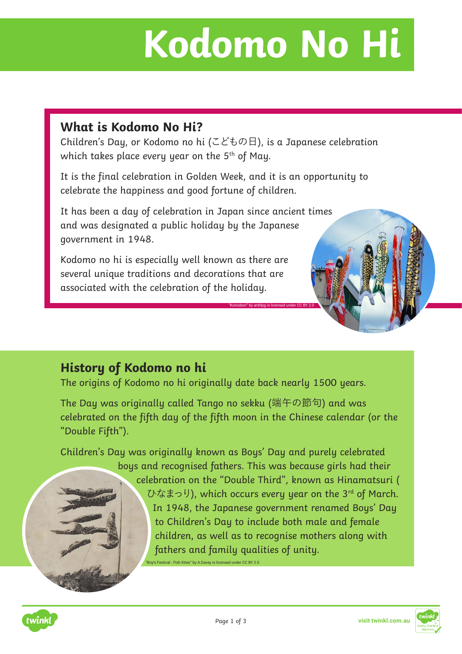## **Kodomo No Hi**

## **What is Kodomo No Hi?**

Children's Day, or Kodomo no hi (こどもの日), is a Japanese celebration which takes place every year on the  $5<sup>th</sup>$  of May.

It is the final celebration in Golden Week, and it is an opportunity to celebrate the happiness and good fortune of children.

It has been a day of celebration in Japan since ancient times and was designated a public holiday by the Japanese government in 1948.

Kodomo no hi is especially well known as there are several unique traditions and decorations that are associated with the celebration of the holiday.

## **History of Kodomo no hi**

The origins of Kodomo no hi originally date back nearly 1500 years.

The Day was originally called Tango no sekku (端午の節句) and was celebrated on the fifth day of the fifth moon in the Chinese calendar (or the "Double Fifth").

Children's Day was originally known as Boys' Day and purely celebrated

boys and recognised fathers. This was because girls had their celebration on the "Double Third", known as Hinamatsuri ( ひなまっり), which occurs every year on the 3rd of March. In 1948, the Japanese government renamed Boys' Day to Children's Day to include both male and female children, as well as to recognise mothers along with fathers and family qualities of unity.

"Koinobori" by arditpg is licensed under CC BY 2.0

"Boy's Festival - Fish Kites" by A.Davey is licensed under CC BY 2.0



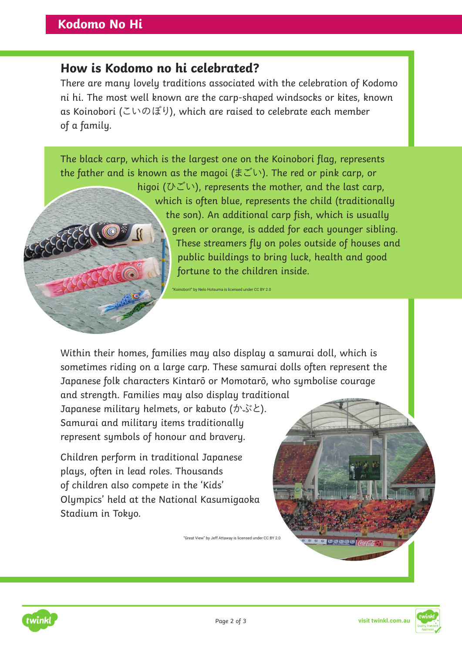## **How is Kodomo no hi celebrated?**

There are many lovely traditions associated with the celebration of Kodomo ni hi. The most well known are the carp-shaped windsocks or kites, known as Koinobori (こいのぼり), which are raised to celebrate each member of a family.



Within their homes, families may also display a samurai doll, which is sometimes riding on a large carp. These samurai dolls often represent the Japanese folk characters Kintarō or Momotarō, who symbolise courage and strength. Families may also display traditional Japanese military helmets, or kabuto (かぶと).

Samurai and military items traditionally represent symbols of honour and bravery.

Children perform in traditional Japanese plays, often in lead roles. Thousands of children also compete in the 'Kids' Olympics' held at the National Kasumigaoka Stadium in Tokyo.

"Great View" by Jeff Attaway is licensed under CC BY 2.0





<mark>a aaaaa</mark>